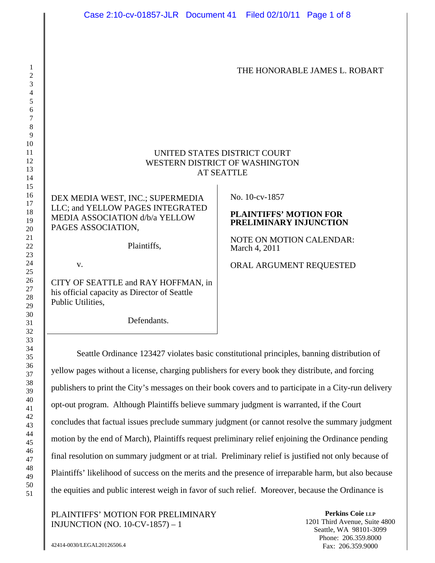THE HONORABLE JAMES L. ROBART

# UNITED STATES DISTRICT COURT WESTERN DISTRICT OF WASHINGTON AT SEATTLE

# DEX MEDIA WEST, INC.; SUPERMEDIA LLC; and YELLOW PAGES INTEGRATED MEDIA ASSOCIATION d/b/a YELLOW PAGES ASSOCIATION,

Plaintiffs,

v.

CITY OF SEATTLE and RAY HOFFMAN, in his official capacity as Director of Seattle Public Utilities,

Defendants.

No. 10-cv-1857

### **PLAINTIFFS' MOTION FOR PRELIMINARY INJUNCTION**

NOTE ON MOTION CALENDAR: March 4, 2011

ORAL ARGUMENT REQUESTED

Seattle Ordinance 123427 violates basic constitutional principles, banning distribution of yellow pages without a license, charging publishers for every book they distribute, and forcing publishers to print the City's messages on their book covers and to participate in a City-run delivery opt-out program. Although Plaintiffs believe summary judgment is warranted, if the Court concludes that factual issues preclude summary judgment (or cannot resolve the summary judgment motion by the end of March), Plaintiffs request preliminary relief enjoining the Ordinance pending final resolution on summary judgment or at trial. Preliminary relief is justified not only because of Plaintiffs' likelihood of success on the merits and the presence of irreparable harm, but also because the equities and public interest weigh in favor of such relief. Moreover, because the Ordinance is

PLAINTIFFS' MOTION FOR PRELIMINARY INJUNCTION (NO. 10-CV-1857) – 1

**Perkins Coie LLP** 1201 Third Avenue, Suite 4800 Seattle, WA 98101-3099 Phone: 206.359.8000 Fax: 206.359.9000

42414-0030/LEGAL20126506.4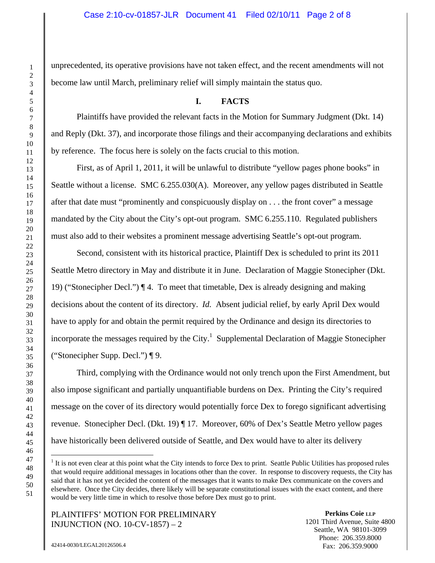unprecedented, its operative provisions have not taken effect, and the recent amendments will not become law until March, preliminary relief will simply maintain the status quo.

# **I. FACTS**

Plaintiffs have provided the relevant facts in the Motion for Summary Judgment (Dkt. 14) and Reply (Dkt. 37), and incorporate those filings and their accompanying declarations and exhibits by reference. The focus here is solely on the facts crucial to this motion.

First, as of April 1, 2011, it will be unlawful to distribute "yellow pages phone books" in Seattle without a license. SMC 6.255.030(A). Moreover, any yellow pages distributed in Seattle after that date must "prominently and conspicuously display on . . . the front cover" a message mandated by the City about the City's opt-out program. SMC 6.255.110. Regulated publishers must also add to their websites a prominent message advertising Seattle's opt-out program.

Second, consistent with its historical practice, Plaintiff Dex is scheduled to print its 2011 Seattle Metro directory in May and distribute it in June. Declaration of Maggie Stonecipher (Dkt. 19) ("Stonecipher Decl.") ¶ 4. To meet that timetable, Dex is already designing and making decisions about the content of its directory. *Id.* Absent judicial relief, by early April Dex would have to apply for and obtain the permit required by the Ordinance and design its directories to incorporate the messages required by the City.<sup>1</sup> Supplemental Declaration of Maggie Stonecipher ("Stonecipher Supp. Decl.") ¶ 9.

Third, complying with the Ordinance would not only trench upon the First Amendment, but also impose significant and partially unquantifiable burdens on Dex. Printing the City's required message on the cover of its directory would potentially force Dex to forego significant advertising revenue. Stonecipher Decl. (Dkt. 19) ¶ 17. Moreover, 60% of Dex's Seattle Metro yellow pages have historically been delivered outside of Seattle, and Dex would have to alter its delivery

PLAINTIFFS' MOTION FOR PRELIMINARY INJUNCTION (NO. 10-CV-1857) – 2

**Perkins Coie LLP** 1201 Third Avenue, Suite 4800 Seattle, WA 98101-3099 Phone: 206.359.8000 Fax: 206.359.9000

1

 $<sup>1</sup>$  It is not even clear at this point what the City intends to force Dex to print. Seattle Public Utilities has proposed rules</sup> that would require additional messages in locations other than the cover. In response to discovery requests, the City has said that it has not yet decided the content of the messages that it wants to make Dex communicate on the covers and elsewhere. Once the City decides, there likely will be separate constitutional issues with the exact content, and there would be very little time in which to resolve those before Dex must go to print.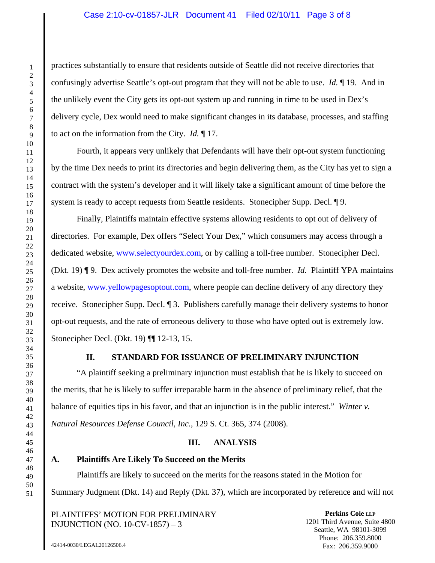## Case 2:10-cv-01857-JLR Document 41 Filed 02/10/11 Page 3 of 8

practices substantially to ensure that residents outside of Seattle did not receive directories that confusingly advertise Seattle's opt-out program that they will not be able to use. *Id.* ¶ 19. And in the unlikely event the City gets its opt-out system up and running in time to be used in Dex's delivery cycle, Dex would need to make significant changes in its database, processes, and staffing to act on the information from the City. *Id.* ¶ 17.

Fourth, it appears very unlikely that Defendants will have their opt-out system functioning by the time Dex needs to print its directories and begin delivering them, as the City has yet to sign a contract with the system's developer and it will likely take a significant amount of time before the system is ready to accept requests from Seattle residents. Stonecipher Supp. Decl. 19.

Finally, Plaintiffs maintain effective systems allowing residents to opt out of delivery of directories. For example, Dex offers "Select Your Dex," which consumers may access through a dedicated website, www.selectyourdex.com, or by calling a toll-free number. Stonecipher Decl. (Dkt. 19) ¶ 9. Dex actively promotes the website and toll-free number. *Id.* Plaintiff YPA maintains a website, www.yellowpagesoptout.com, where people can decline delivery of any directory they receive. Stonecipher Supp. Decl. ¶ 3. Publishers carefully manage their delivery systems to honor opt-out requests, and the rate of erroneous delivery to those who have opted out is extremely low. Stonecipher Decl. (Dkt. 19) ¶¶ 12-13, 15.

## **II. STANDARD FOR ISSUANCE OF PRELIMINARY INJUNCTION**

"A plaintiff seeking a preliminary injunction must establish that he is likely to succeed on the merits, that he is likely to suffer irreparable harm in the absence of preliminary relief, that the balance of equities tips in his favor, and that an injunction is in the public interest." *Winter v. Natural Resources Defense Council, Inc.*, 129 S. Ct. 365, 374 (2008).

### **III. ANALYSIS**

#### **A. Plaintiffs Are Likely To Succeed on the Merits**

Plaintiffs are likely to succeed on the merits for the reasons stated in the Motion for Summary Judgment (Dkt. 14) and Reply (Dkt. 37), which are incorporated by reference and will not

PLAINTIFFS' MOTION FOR PRELIMINARY INJUNCTION (NO. 10-CV-1857) – 3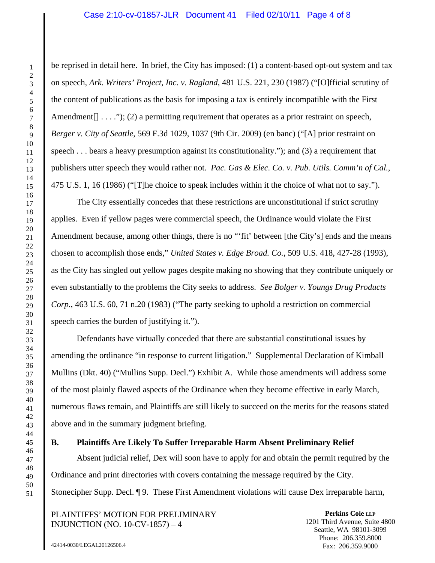be reprised in detail here. In brief, the City has imposed: (1) a content-based opt-out system and tax on speech, *Ark. Writers' Project, Inc. v. Ragland*, 481 U.S. 221, 230 (1987) ("[O]fficial scrutiny of the content of publications as the basis for imposing a tax is entirely incompatible with the First Amendment $[$ ]  $\ldots$   $\ldots$   $(2)$  a permitting requirement that operates as a prior restraint on speech, *Berger v. City of Seattle*, 569 F.3d 1029, 1037 (9th Cir. 2009) (en banc) ("[A] prior restraint on speech . . . bears a heavy presumption against its constitutionality."); and (3) a requirement that publishers utter speech they would rather not. *Pac. Gas & Elec. Co. v. Pub. Utils. Comm'n of Cal.*, 475 U.S. 1, 16 (1986) ("[T]he choice to speak includes within it the choice of what not to say.").

The City essentially concedes that these restrictions are unconstitutional if strict scrutiny applies. Even if yellow pages were commercial speech, the Ordinance would violate the First Amendment because, among other things, there is no "'fit' between [the City's] ends and the means chosen to accomplish those ends," *United States v. Edge Broad. Co.*, 509 U.S. 418, 427-28 (1993), as the City has singled out yellow pages despite making no showing that they contribute uniquely or even substantially to the problems the City seeks to address. *See Bolger v. Youngs Drug Products Corp.*, 463 U.S. 60, 71 n.20 (1983) ("The party seeking to uphold a restriction on commercial speech carries the burden of justifying it.").

Defendants have virtually conceded that there are substantial constitutional issues by amending the ordinance "in response to current litigation." Supplemental Declaration of Kimball Mullins (Dkt. 40) ("Mullins Supp. Decl.") Exhibit A. While those amendments will address some of the most plainly flawed aspects of the Ordinance when they become effective in early March, numerous flaws remain, and Plaintiffs are still likely to succeed on the merits for the reasons stated above and in the summary judgment briefing.

## **B. Plaintiffs Are Likely To Suffer Irreparable Harm Absent Preliminary Relief**

Absent judicial relief, Dex will soon have to apply for and obtain the permit required by the Ordinance and print directories with covers containing the message required by the City. Stonecipher Supp. Decl. ¶ 9. These First Amendment violations will cause Dex irreparable harm,

PLAINTIFFS' MOTION FOR PRELIMINARY INJUNCTION (NO. 10-CV-1857) – 4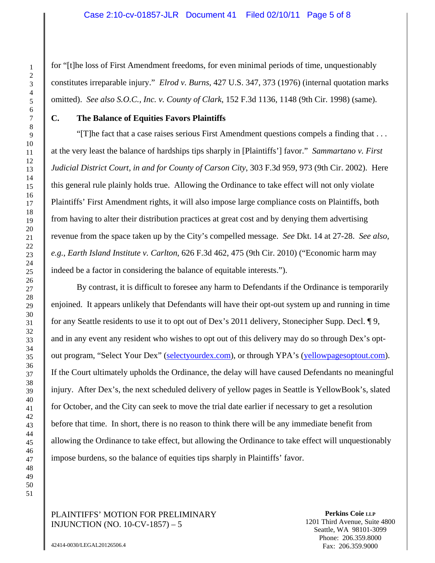for "[t]he loss of First Amendment freedoms, for even minimal periods of time, unquestionably constitutes irreparable injury." *Elrod v. Burns*, 427 U.S. 347, 373 (1976) (internal quotation marks omitted). *See also S.O.C., Inc. v. County of Clark*, 152 F.3d 1136, 1148 (9th Cir. 1998) (same).

## **C. The Balance of Equities Favors Plaintiffs**

"[T]he fact that a case raises serious First Amendment questions compels a finding that . . . at the very least the balance of hardships tips sharply in [Plaintiffs'] favor." *Sammartano v. First Judicial District Court, in and for County of Carson City*, 303 F.3d 959, 973 (9th Cir. 2002). Here this general rule plainly holds true. Allowing the Ordinance to take effect will not only violate Plaintiffs' First Amendment rights, it will also impose large compliance costs on Plaintiffs, both from having to alter their distribution practices at great cost and by denying them advertising revenue from the space taken up by the City's compelled message. *See* Dkt. 14 at 27-28. *See also, e.g.*, *Earth Island Institute v. Carlton*, 626 F.3d 462, 475 (9th Cir. 2010) ("Economic harm may indeed be a factor in considering the balance of equitable interests.").

By contrast, it is difficult to foresee any harm to Defendants if the Ordinance is temporarily enjoined. It appears unlikely that Defendants will have their opt-out system up and running in time for any Seattle residents to use it to opt out of Dex's 2011 delivery, Stonecipher Supp. Decl. ¶ 9, and in any event any resident who wishes to opt out of this delivery may do so through Dex's optout program, "Select Your Dex" (selectyourdex.com), or through YPA's (yellowpagesoptout.com). If the Court ultimately upholds the Ordinance, the delay will have caused Defendants no meaningful injury. After Dex's, the next scheduled delivery of yellow pages in Seattle is YellowBook's, slated for October, and the City can seek to move the trial date earlier if necessary to get a resolution before that time. In short, there is no reason to think there will be any immediate benefit from allowing the Ordinance to take effect, but allowing the Ordinance to take effect will unquestionably impose burdens, so the balance of equities tips sharply in Plaintiffs' favor.

## PLAINTIFFS' MOTION FOR PRELIMINARY INJUNCTION (NO. 10-CV-1857) – 5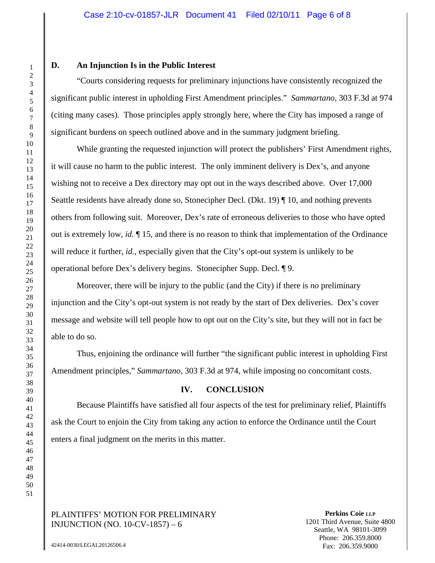#### **D. An Injunction Is in the Public Interest**

"Courts considering requests for preliminary injunctions have consistently recognized the significant public interest in upholding First Amendment principles." *Sammartano*, 303 F.3d at 974 (citing many cases). Those principles apply strongly here, where the City has imposed a range of significant burdens on speech outlined above and in the summary judgment briefing.

While granting the requested injunction will protect the publishers' First Amendment rights, it will cause no harm to the public interest. The only imminent delivery is Dex's, and anyone wishing not to receive a Dex directory may opt out in the ways described above. Over 17,000 Seattle residents have already done so, Stonecipher Decl. (Dkt. 19) ¶ 10, and nothing prevents others from following suit. Moreover, Dex's rate of erroneous deliveries to those who have opted out is extremely low, *id.* ¶ 15, and there is no reason to think that implementation of the Ordinance will reduce it further, *id.*, especially given that the City's opt-out system is unlikely to be operational before Dex's delivery begins. Stonecipher Supp. Decl. ¶ 9.

Moreover, there will be injury to the public (and the City) if there is *no* preliminary injunction and the City's opt-out system is not ready by the start of Dex deliveries. Dex's cover message and website will tell people how to opt out on the City's site, but they will not in fact be able to do so.

Thus, enjoining the ordinance will further "the significant public interest in upholding First Amendment principles," *Sammartano*, 303 F.3d at 974, while imposing no concomitant costs.

# **IV. CONCLUSION**

Because Plaintiffs have satisfied all four aspects of the test for preliminary relief, Plaintiffs ask the Court to enjoin the City from taking any action to enforce the Ordinance until the Court enters a final judgment on the merits in this matter.

## PLAINTIFFS' MOTION FOR PRELIMINARY INJUNCTION (NO. 10-CV-1857) – 6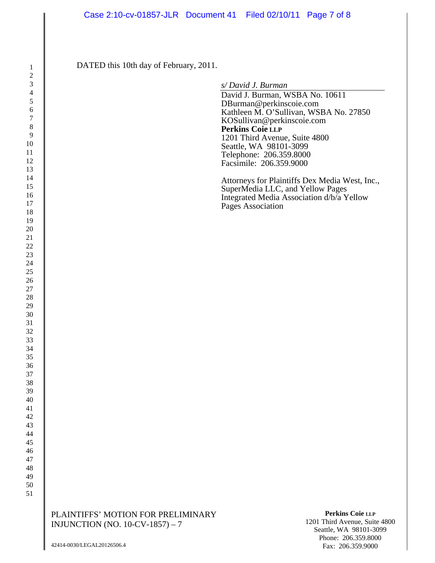DATED this 10th day of February, 2011.

*s/ David J. Burman* 

David J. Burman, WSBA No. 10611 DBurman@perkinscoie.com Kathleen M. O'Sullivan, WSBA No. 27850 KOSullivan@perkinscoie.com **Perkins Coie LLP** 1201 Third Avenue, Suite 4800 Seattle, WA 98101-3099 Telephone: 206.359.8000 Facsimile: 206.359.9000

Attorneys for Plaintiffs Dex Media West, Inc., SuperMedia LLC, and Yellow Pages Integrated Media Association d/b/a Yellow Pages Association

PLAINTIFFS' MOTION FOR PRELIMINARY INJUNCTION (NO. 10-CV-1857) – 7